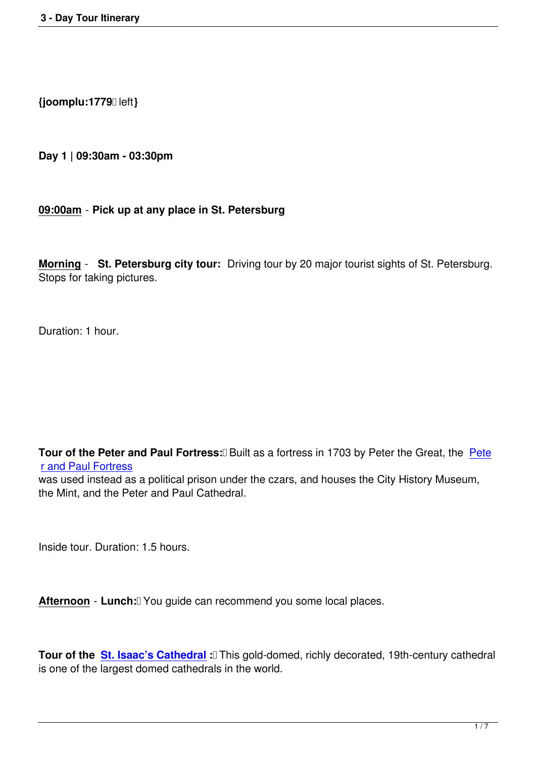**{joomplu:1779** left**}**

**Day 1 | 09:30am - 03:30pm**

### **09:00am** - **Pick up at any place in St. Petersburg**

**Morning** - **St. Petersburg city tour:** Driving tour by 20 major tourist sights of St. Petersburg. Stops for taking pictures.

Duration: 1 hour.

**Tour of the Peter and Paul Fortress: <b>Built** as a fortress in 1703 by Peter the Great, the Pete r and Paul Fortress

was used instead as a political prison under the czars, and houses the City History Museum, the Mint, and the Peter and Paul Cathedral.

Inside tour. Duration: 1.5 hours.

Afternoon - Lunch: <u>Vou guide can recommend you some local places</u>.

**Tour of the St. Isaac's Cathedral :** This gold-domed, richly decorated, 19th-century cathedral is one of the largest domed cathedrals in the world.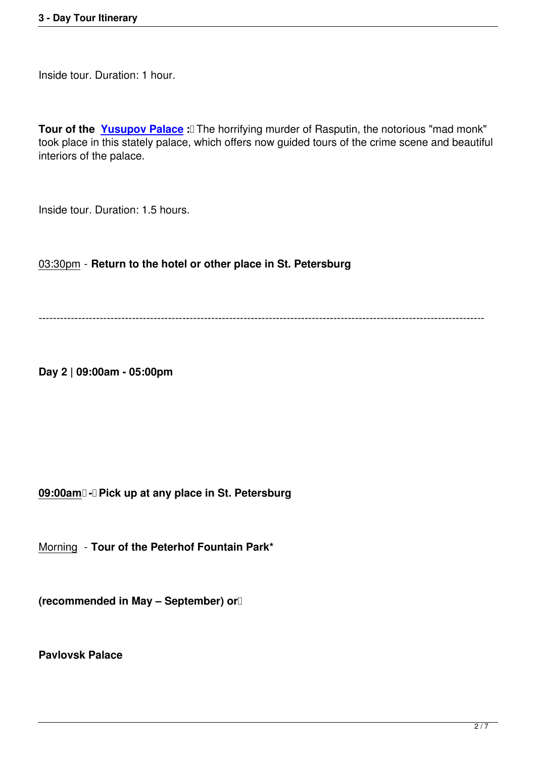Inside tour. Duration: 1 hour.

**Tour of the Yusupov Palace** : The horrifying murder of Rasputin, the notorious "mad monk" took place in this stately palace, which offers now guided tours of the crime scene and beautiful interiors of the palace.

Inside tour. Duration: 1.5 hours.

03:30pm - **Return to the hotel or other place in St. Petersburg**

----------------------------------------------------------------------------------------------------------------------------

**Day 2 | 09:00am - 05:00pm**

**09:00am** - Pick up at any place in St. Petersburg

Morning - **Tour of the Peterhof Fountain Park\***

**(recommended in May – September) or** 

**Pavlovsk Palace**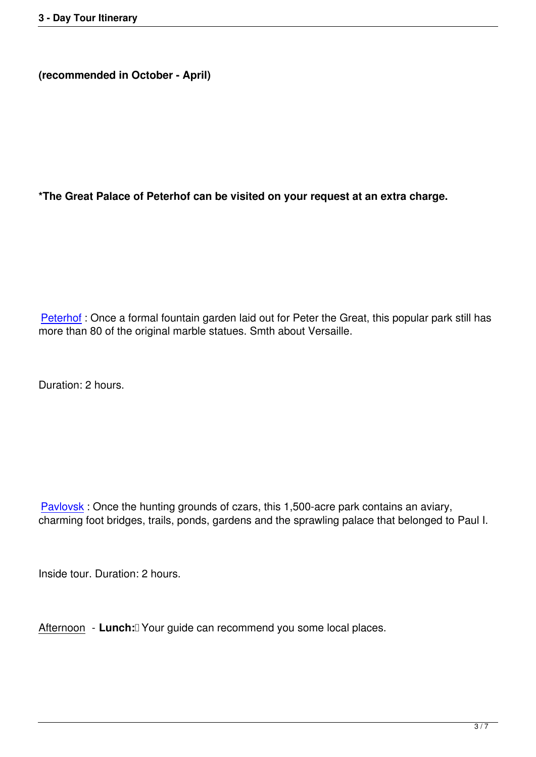**\*The Great Palace of Peterhof can be visited on your request at an extra charge.**

Peterhof : Once a formal fountain garden laid out for Peter the Great, this popular park still has more than 80 of the original marble statues. Smth about Versaille.

Duration: 2 hours.

Pavlovsk : Once the hunting grounds of czars, this 1,500-acre park contains an aviary, charming foot bridges, trails, ponds, gardens and the sprawling palace that belonged to Paul I.

Inside tour. Duration: 2 hours.

Afternoon - **Lunch:** Your guide can recommend you some local places.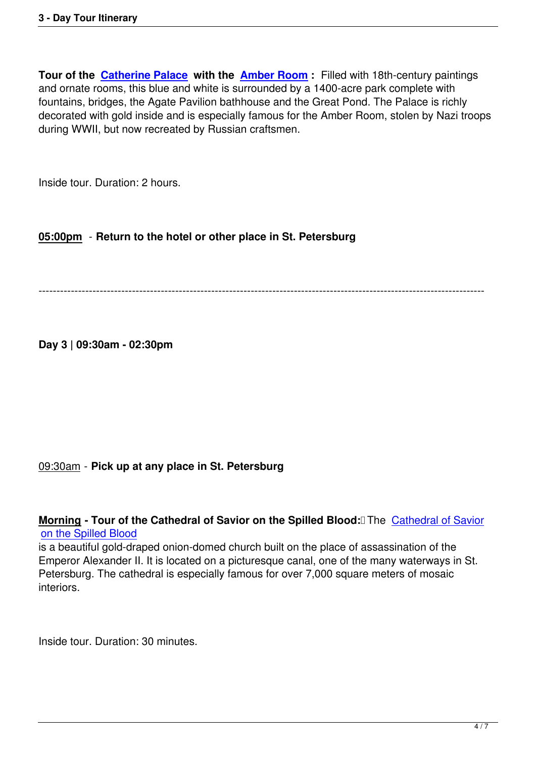**Tour of the Catherine Palace with the Amber Room:** Filled with 18th-century paintings and ornate rooms, this blue and white is surrounded by a 1400-acre park complete with fountains, bridges, the Agate Pavilion bathhouse and the Great Pond. The Palace is richly decorated wi[th gold inside and i](entertainment/st-petersburg-attractions/584-catherine-palace.html)s especiall[y famous for th](entertainment/st-petersburg-attractions/582-the-amber-room.html)e Amber Room, stolen by Nazi troops during WWII, but now recreated by Russian craftsmen.

Inside tour. Duration: 2 hours.

# **05:00pm** - **Return to the hotel or other place in St. Petersburg**

----------------------------------------------------------------------------------------------------------------------------

**Day 3 | 09:30am - 02:30pm**

### 09:30am - **Pick up at any place in St. Petersburg**

**Morning - Tour of the Cathedral of Savior on the Spilled Blood: The Cathedral of Savior** on the Spilled Blood

is a beautiful gold-draped onion-domed church built on the place of assassination of the Emperor Alexander II. It is located on a picturesque canal, one of the man[y waterways in St.](entertainment/st-petersburg-attractions/79-church-on-spilled-blood.html) [Petersburg. The cath](entertainment/st-petersburg-attractions/79-church-on-spilled-blood.html)edral is especially famous for over 7,000 square meters of mosaic interiors.

Inside tour. Duration: 30 minutes.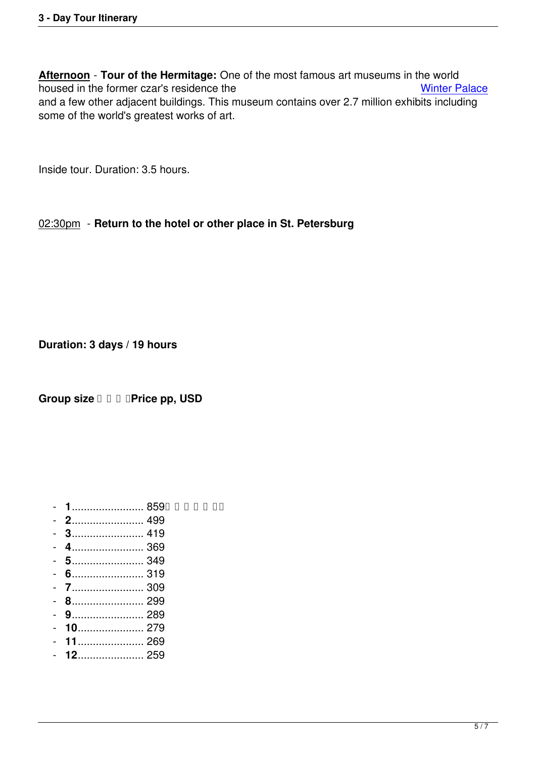**Afternoon** - **Tour of the Hermitage:** One of the most famous art museums in the world housed in the former czar's residence the Winter Palace Winter Palace and a few other adjacent buildings. This museum contains over 2.7 million exhibits including some of the world's greatest works of art.

Inside tour. Duration: 3.5 hours.

## 02:30pm - **Return to the hotel or other place in St. Petersburg**

**Duration: 3 days / 19 hours**

**Group size**  $\Box$  $\Box$  $\Box$  **Price pp, USD** 

- **1**........................ 859
- **2**........................ 499
- **3**........................ 419
- **4**........................ 369
- **5**........................ 349
- **6**........................ 319
- **7**........................ 309
- **8**........................ 299
- **9**........................ 289
- **10**...................... 279
- **11**...................... 269
- **12**...................... 259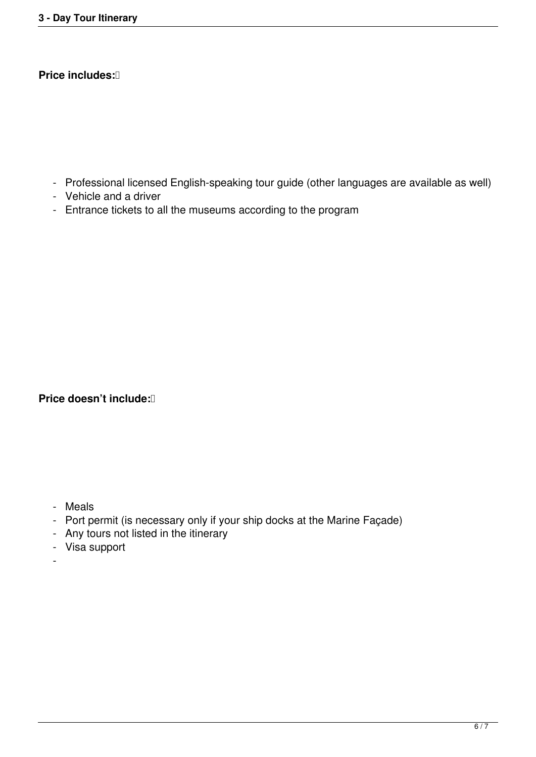## **Price includes:**

- Professional licensed English-speaking tour guide (other languages are available as well)
- Vehicle and a driver
- Entrance tickets to all the museums according to the program

**Price doesn't include:** 

- Meals
- Port permit (is necessary only if your ship docks at the Marine Façade)
- Any tours not listed in the itinerary
- Visa support
- -